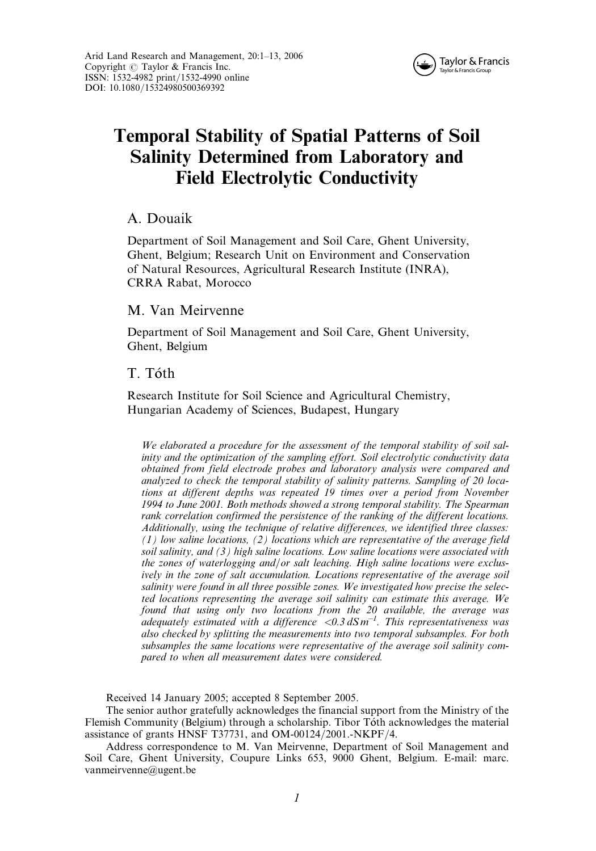

# Temporal Stability of Spatial Patterns of Soil Salinity Determined from Laboratory and Field Electrolytic Conductivity

# A. Douaik

Department of Soil Management and Soil Care, Ghent University, Ghent, Belgium; Research Unit on Environment and Conservation of Natural Resources, Agricultural Research Institute (INRA), CRRA Rabat, Morocco

# M. Van Meirvenne

Department of Soil Management and Soil Care, Ghent University, Ghent, Belgium

# T. Toth

Research Institute for Soil Science and Agricultural Chemistry, Hungarian Academy of Sciences, Budapest, Hungary

We elaborated a procedure for the assessment of the temporal stability of soil salinity and the optimization of the sampling effort. Soil electrolytic conductivity data obtained from field electrode probes and laboratory analysis were compared and analyzed to check the temporal stability of salinity patterns. Sampling of 20 locations at different depths was repeated 19 times over a period from November 1994 to June 2001. Both methods showed a strong temporal stability. The Spearman rank correlation confirmed the persistence of the ranking of the different locations. Additionally, using the technique of relative differences, we identified three classes: (1) low saline locations, (2) locations which are representative of the average field soil salinity, and (3) high saline locations. Low saline locations were associated with the zones of waterlogging and/or salt leaching. High saline locations were exclusively in the zone of salt accumulation. Locations representative of the average soil salinity were found in all three possible zones. We investigated how precise the selected locations representing the average soil salinity can estimate this average. We found that using only two locations from the 20 available, the average was adequately estimated with a difference  $\langle 0.3 \, \text{dS} \, \text{m}^{-1}$ . This representativeness was also checked by splitting the measurements into two temporal subsamples. For both subsamples the same locations were representative of the average soil salinity compared to when all measurement dates were considered.

Received 14 January 2005; accepted 8 September 2005.

The senior author gratefully acknowledges the financial support from the Ministry of the Flemish Community (Belgium) through a scholarship. Tibor Toth acknowledges the material assistance of grants HNSF T37731, and OM-00124/2001.-NKPF/4.

Address correspondence to M. Van Meirvenne, Department of Soil Management and Soil Care, Ghent University, Coupure Links 653, 9000 Ghent, Belgium. E-mail: marc. vanmeirvenne@ugent.be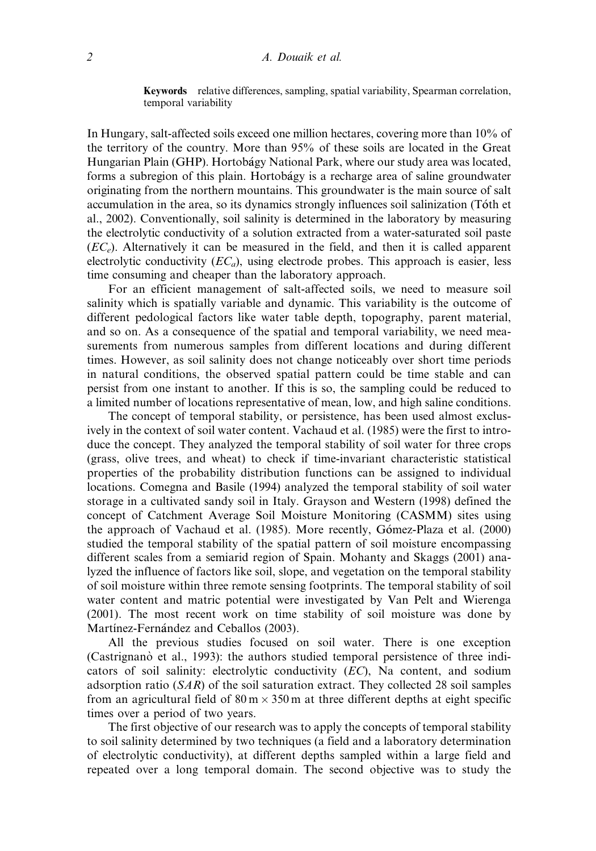Keywords relative differences, sampling, spatial variability, Spearman correlation, temporal variability

In Hungary, salt-affected soils exceed one million hectares, covering more than 10% of the territory of the country. More than 95% of these soils are located in the Great Hungarian Plain (GHP). Hortobágy National Park, where our study area was located, forms a subregion of this plain. Hortobagy is a recharge area of saline groundwater originating from the northern mountains. This groundwater is the main source of salt accumulation in the area, so its dynamics strongly influences soil salinization (Toth et al., 2002). Conventionally, soil salinity is determined in the laboratory by measuring the electrolytic conductivity of a solution extracted from a water-saturated soil paste  $(EC<sub>e</sub>)$ . Alternatively it can be measured in the field, and then it is called apparent electrolytic conductivity  $(EC_a)$ , using electrode probes. This approach is easier, less time consuming and cheaper than the laboratory approach.

For an efficient management of salt-affected soils, we need to measure soil salinity which is spatially variable and dynamic. This variability is the outcome of different pedological factors like water table depth, topography, parent material, and so on. As a consequence of the spatial and temporal variability, we need measurements from numerous samples from different locations and during different times. However, as soil salinity does not change noticeably over short time periods in natural conditions, the observed spatial pattern could be time stable and can persist from one instant to another. If this is so, the sampling could be reduced to a limited number of locations representative of mean, low, and high saline conditions.

The concept of temporal stability, or persistence, has been used almost exclusively in the context of soil water content. Vachaud et al. (1985) were the first to introduce the concept. They analyzed the temporal stability of soil water for three crops (grass, olive trees, and wheat) to check if time-invariant characteristic statistical properties of the probability distribution functions can be assigned to individual locations. Comegna and Basile (1994) analyzed the temporal stability of soil water storage in a cultivated sandy soil in Italy. Grayson and Western (1998) defined the concept of Catchment Average Soil Moisture Monitoring (CASMM) sites using the approach of Vachaud et al. (1985). More recently, Gómez-Plaza et al. (2000) studied the temporal stability of the spatial pattern of soil moisture encompassing different scales from a semiarid region of Spain. Mohanty and Skaggs (2001) analyzed the influence of factors like soil, slope, and vegetation on the temporal stability of soil moisture within three remote sensing footprints. The temporal stability of soil water content and matric potential were investigated by Van Pelt and Wierenga (2001). The most recent work on time stability of soil moisture was done by Martínez-Fernández and Ceballos (2003).

All the previous studies focused on soil water. There is one exception (Castrignano` et al., 1993): the authors studied temporal persistence of three indicators of soil salinity: electrolytic conductivity (EC), Na content, and sodium adsorption ratio (SAR) of the soil saturation extract. They collected 28 soil samples from an agricultural field of  $80 \text{ m} \times 350 \text{ m}$  at three different depths at eight specific times over a period of two years.

The first objective of our research was to apply the concepts of temporal stability to soil salinity determined by two techniques (a field and a laboratory determination of electrolytic conductivity), at different depths sampled within a large field and repeated over a long temporal domain. The second objective was to study the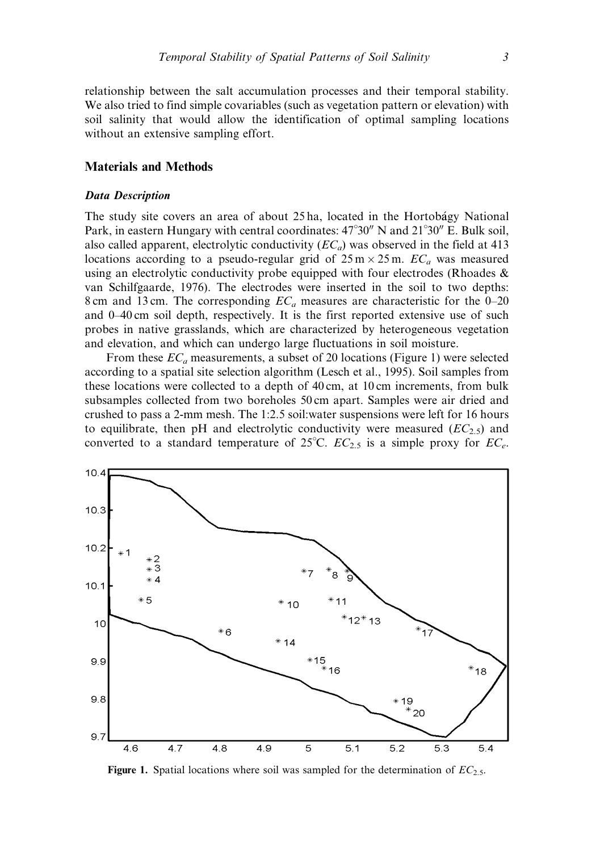relationship between the salt accumulation processes and their temporal stability. We also tried to find simple covariables (such as vegetation pattern or elevation) with soil salinity that would allow the identification of optimal sampling locations without an extensive sampling effort.

## Materials and Methods

#### Data Description

The study site covers an area of about 25 ha, located in the Hortobagy National Park, in eastern Hungary with central coordinates:  $47^{\circ}30''$  N and  $21^{\circ}30''$  E. Bulk soil, also called apparent, electrolytic conductivity  $(EC_a)$  was observed in the field at 413 locations according to a pseudo-regular grid of  $25 \text{ m} \times 25 \text{ m}$ .  $EC_a$  was measured using an electrolytic conductivity probe equipped with four electrodes (Rhoades & van Schilfgaarde, 1976). The electrodes were inserted in the soil to two depths: 8 cm and 13 cm. The corresponding  $EC_a$  measures are characteristic for the 0–20 and 0–40 cm soil depth, respectively. It is the first reported extensive use of such probes in native grasslands, which are characterized by heterogeneous vegetation and elevation, and which can undergo large fluctuations in soil moisture.

From these  $EC_a$  measurements, a subset of 20 locations (Figure 1) were selected according to a spatial site selection algorithm (Lesch et al., 1995). Soil samples from these locations were collected to a depth of 40 cm, at 10 cm increments, from bulk subsamples collected from two boreholes 50 cm apart. Samples were air dried and crushed to pass a 2-mm mesh. The 1:2.5 soil:water suspensions were left for 16 hours to equilibrate, then pH and electrolytic conductivity were measured  $(EC_{2,5})$  and converted to a standard temperature of 25°C.  $EC_{2.5}$  is a simple proxy for  $EC_e$ .



Figure 1. Spatial locations where soil was sampled for the determination of  $EC_{2.5}$ .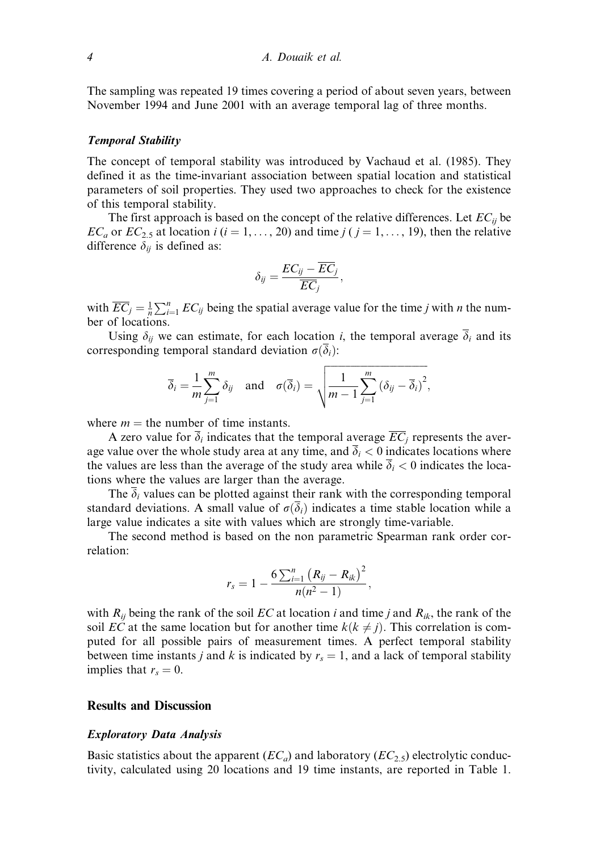The sampling was repeated 19 times covering a period of about seven years, between November 1994 and June 2001 with an average temporal lag of three months.

## Temporal Stability

The concept of temporal stability was introduced by Vachaud et al. (1985). They defined it as the time-invariant association between spatial location and statistical parameters of soil properties. They used two approaches to check for the existence of this temporal stability.

The first approach is based on the concept of the relative differences. Let  $EC_{ij}$  be  $EC_a$  or  $EC_{2.5}$  at location i (i = 1, ..., 20) and time j (j = 1, ..., 19), then the relative difference  $\delta_{ij}$  is defined as:

$$
\delta_{ij} = \frac{EC_{ij} - \overline{EC}_j}{\overline{EC}_j},
$$

with  $\overline{EC}_j = \frac{1}{n} \sum_{i=1}^n EC_{ij}$  being the spatial average value for the time j with *n* the number of locations.

Using  $\delta_{ij}$  we can estimate, for each location *i*, the temporal average  $\overline{\delta}_i$  and its corresponding temporal standard deviation  $\sigma(\delta_i)$ :

$$
\overline{\delta}_i = \frac{1}{m} \sum_{j=1}^m \delta_{ij} \text{ and } \sigma(\overline{\delta}_i) = \sqrt{\frac{1}{m-1} \sum_{j=1}^m (\delta_{ij} - \overline{\delta}_i)^2},
$$

where  $m =$  the number of time instants.

A zero value for  $\overline{\delta_i}$  indicates that the temporal average  $\overline{EC_i}$  represents the average value over the whole study area at any time, and  $\overline{\delta}_i < 0$  indicates locations where the values are less than the average of the study area while  $\overline{\delta}_i$  < 0 indicates the locations where the values are larger than the average.

The  $\delta_i$  values can be plotted against their rank with the corresponding temporal standard deviations. A small value of  $\sigma(\overline{\delta}_i)$  indicates a time stable location while a large value indicates a site with values which are strongly time-variable.

The second method is based on the non parametric Spearman rank order correlation:

$$
r_s = 1 - \frac{6 \sum_{i=1}^{n} (R_{ij} - R_{ik})^2}{n(n^2 - 1)},
$$

with  $R_{ij}$  being the rank of the soil EC at location i and time j and  $R_{ik}$ , the rank of the soil EC at the same location but for another time  $k(k \neq j)$ . This correlation is computed for all possible pairs of measurement times. A perfect temporal stability between time instants j and k is indicated by  $r_s = 1$ , and a lack of temporal stability implies that  $r_s = 0$ .

## Results and Discussion

#### Exploratory Data Analysis

Basic statistics about the apparent  $(EC_a)$  and laboratory  $(EC_{2,5})$  electrolytic conductivity, calculated using 20 locations and 19 time instants, are reported in Table 1.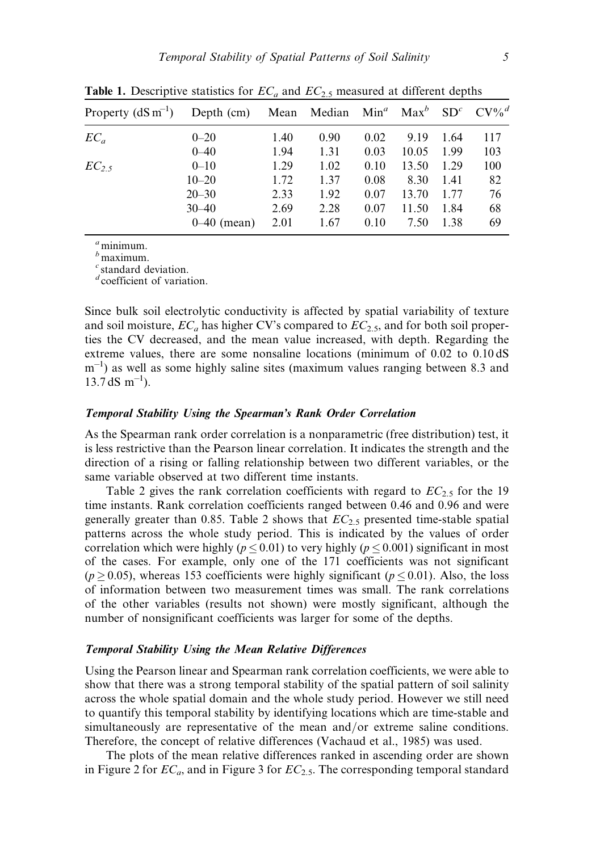| Property $(dS m^{-1})$ Depth (cm) Mean Median Min <sup>a</sup> Max <sup>b</sup> SD <sup>c</sup> CV% <sup>d</sup> |                 |      |      |      |       |      |     |
|------------------------------------------------------------------------------------------------------------------|-----------------|------|------|------|-------|------|-----|
| $EC_a$                                                                                                           | $0 - 20$        | 1.40 | 0.90 | 0.02 | 9.19  | 1.64 | 117 |
|                                                                                                                  | $0 - 40$        | 1.94 | 1.31 | 0.03 | 10.05 | 1.99 | 103 |
| $EC_{2,5}$                                                                                                       | $0 - 10$        | 1.29 | 1.02 | 0.10 | 13.50 | 1.29 | 100 |
|                                                                                                                  | $10 - 20$       | 1.72 | 1.37 | 0.08 | 8.30  | 1.41 | 82  |
|                                                                                                                  | $20 - 30$       | 2.33 | 1.92 | 0.07 | 13.70 | 1.77 | 76  |
|                                                                                                                  | $30 - 40$       | 2.69 | 2.28 | 0.07 | 11.50 | 1.84 | 68  |
|                                                                                                                  | $0 - 40$ (mean) | 2.01 | 1.67 | 0.10 | 7.50  | 1.38 | 69  |

Table 1. Descriptive statistics for  $EC_a$  and  $EC_{2.5}$  measured at different depths

 $a$  minimum.

 $^b$  maximum.

 $\epsilon$  standard deviation.

 $d$  coefficient of variation.

Since bulk soil electrolytic conductivity is affected by spatial variability of texture and soil moisture,  $EC_a$  has higher CV's compared to  $EC_{2,5}$ , and for both soil properties the CV decreased, and the mean value increased, with depth. Regarding the extreme values, there are some nonsaline locations (minimum of 0.02 to 0.10 dS  $m^{-1}$ ) as well as some highly saline sites (maximum values ranging between 8.3 and  $13.7$  dS m<sup>-1</sup>).

## Temporal Stability Using the Spearman's Rank Order Correlation

As the Spearman rank order correlation is a nonparametric (free distribution) test, it is less restrictive than the Pearson linear correlation. It indicates the strength and the direction of a rising or falling relationship between two different variables, or the same variable observed at two different time instants.

Table 2 gives the rank correlation coefficients with regard to  $EC_{2.5}$  for the 19 time instants. Rank correlation coefficients ranged between 0.46 and 0.96 and were generally greater than 0.85. Table 2 shows that  $EC_{2.5}$  presented time-stable spatial patterns across the whole study period. This is indicated by the values of order correlation which were highly ( $p < 0.01$ ) to very highly ( $p < 0.001$ ) significant in most of the cases. For example, only one of the 171 coefficients was not significant ( $p \ge 0.05$ ), whereas 153 coefficients were highly significant ( $p \le 0.01$ ). Also, the loss of information between two measurement times was small. The rank correlations of the other variables (results not shown) were mostly significant, although the number of nonsignificant coefficients was larger for some of the depths.

#### Temporal Stability Using the Mean Relative Differences

Using the Pearson linear and Spearman rank correlation coefficients, we were able to show that there was a strong temporal stability of the spatial pattern of soil salinity across the whole spatial domain and the whole study period. However we still need to quantify this temporal stability by identifying locations which are time-stable and simultaneously are representative of the mean and/or extreme saline conditions. Therefore, the concept of relative differences (Vachaud et al., 1985) was used.

The plots of the mean relative differences ranked in ascending order are shown in Figure 2 for  $EC_a$ , and in Figure 3 for  $EC_{2.5}$ . The corresponding temporal standard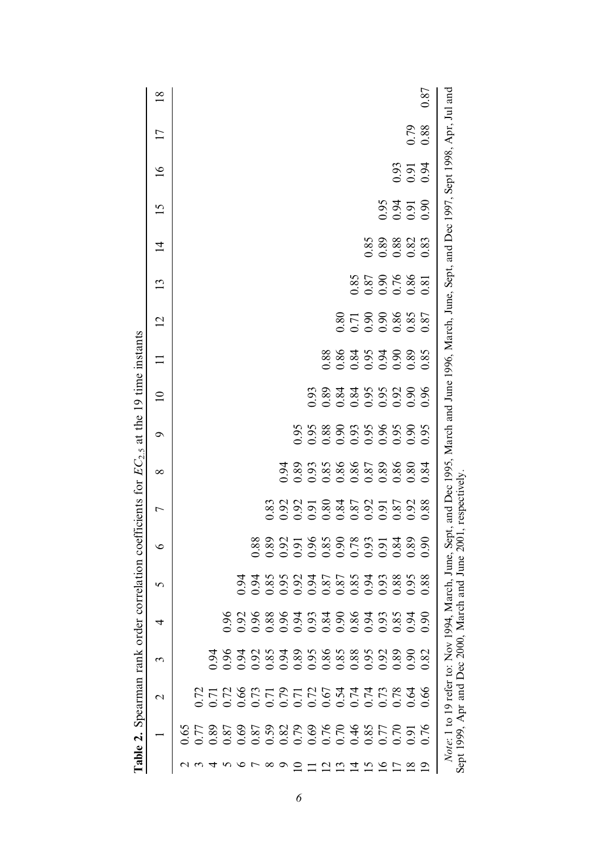|   |                                                 |                   | Table 2. Spearman rank order                                          |                  | correlation coefficients for $EC_{2.5}$ at the 19 time instants                                                                                  |                                |                               |                                                     |                         |                 |                      |                                             |                          |                                             |         |                                             |                |                 |
|---|-------------------------------------------------|-------------------|-----------------------------------------------------------------------|------------------|--------------------------------------------------------------------------------------------------------------------------------------------------|--------------------------------|-------------------------------|-----------------------------------------------------|-------------------------|-----------------|----------------------|---------------------------------------------|--------------------------|---------------------------------------------|---------|---------------------------------------------|----------------|-----------------|
|   |                                                 | $\mathbf{\Omega}$ | $\mathfrak{c}$                                                        | 4                | $\mathbf{\Omega}$                                                                                                                                | $\circ$                        | Γ                             | $\infty$                                            | ç                       | $\overline{10}$ |                      | $\overline{2}$                              | $\overline{13}$          | $\overline{1}$                              | 15      | $\overline{16}$                             | $\overline{1}$ | $\overline{18}$ |
|   | 0.65                                            |                   |                                                                       |                  |                                                                                                                                                  |                                |                               |                                                     |                         |                 |                      |                                             |                          |                                             |         |                                             |                |                 |
|   | 77                                              |                   |                                                                       |                  |                                                                                                                                                  |                                |                               |                                                     |                         |                 |                      |                                             |                          |                                             |         |                                             |                |                 |
|   | 0.89                                            |                   |                                                                       |                  |                                                                                                                                                  |                                |                               |                                                     |                         |                 |                      |                                             |                          |                                             |         |                                             |                |                 |
|   |                                                 |                   |                                                                       | 0.96             |                                                                                                                                                  |                                |                               |                                                     |                         |                 |                      |                                             |                          |                                             |         |                                             |                |                 |
|   | 07<br>078 52 62 62 62 62 62 62<br>0000000000000 |                   |                                                                       | 0.92             | 0.94                                                                                                                                             |                                |                               |                                                     |                         |                 |                      |                                             |                          |                                             |         |                                             |                |                 |
|   |                                                 |                   |                                                                       | 0.96             |                                                                                                                                                  |                                |                               |                                                     |                         |                 |                      |                                             |                          |                                             |         |                                             |                |                 |
|   |                                                 |                   |                                                                       | 0.88             |                                                                                                                                                  |                                |                               |                                                     |                         |                 |                      |                                             |                          |                                             |         |                                             |                |                 |
|   |                                                 |                   |                                                                       |                  |                                                                                                                                                  |                                |                               | 0.94                                                |                         |                 |                      |                                             |                          |                                             |         |                                             |                |                 |
|   |                                                 |                   |                                                                       |                  |                                                                                                                                                  |                                |                               | 0.89                                                |                         |                 |                      |                                             |                          |                                             |         |                                             |                |                 |
|   |                                                 |                   |                                                                       | 983330<br>000000 |                                                                                                                                                  | 88815888665588<br>000000000000 | 8383588585858<br>000000000000 |                                                     | 558883888<br>0000000000 | 0.93            |                      |                                             |                          |                                             |         |                                             |                |                 |
|   |                                                 |                   |                                                                       |                  |                                                                                                                                                  |                                |                               | $\begin{array}{c} 0.93 \\ 0.85 \\ 0.08 \end{array}$ |                         |                 | 0.88                 |                                             |                          |                                             |         |                                             |                |                 |
|   |                                                 |                   |                                                                       |                  |                                                                                                                                                  |                                |                               |                                                     |                         |                 | 0.86                 |                                             |                          |                                             |         |                                             |                |                 |
|   |                                                 |                   |                                                                       | 0.86             |                                                                                                                                                  |                                |                               | $\begin{array}{c} 0.86 \\ 0.87 \\ 0.89 \end{array}$ |                         | 833358888       | 0.84<br>0.95<br>0.90 | 0.80<br>0.90.90.00<br>0.90.00.00<br>0.00.00 |                          |                                             |         |                                             |                |                 |
|   |                                                 |                   |                                                                       |                  |                                                                                                                                                  |                                |                               |                                                     |                         |                 |                      |                                             | 985<br>087<br>087<br>088 | 0.85                                        |         |                                             |                |                 |
|   |                                                 |                   |                                                                       | 0.93             |                                                                                                                                                  |                                |                               |                                                     |                         |                 |                      |                                             |                          |                                             |         |                                             |                |                 |
|   |                                                 |                   |                                                                       | 0.85             |                                                                                                                                                  |                                |                               | 0.86                                                |                         |                 |                      |                                             |                          | $\begin{array}{c} 0.89 \\ 0.88 \end{array}$ | 9345090 |                                             |                |                 |
|   | $\overline{0.9}$                                |                   | 0.90                                                                  | 0.94             | 0.95                                                                                                                                             |                                | 0.92                          | 0.80                                                | 0.90                    |                 | 0.85                 |                                             |                          | 0.82                                        |         | $\begin{array}{c} 0.93 \\ 0.91 \end{array}$ | 0.79           |                 |
| ్ | 0.76                                            | 0.66              | 0.82                                                                  | 0.90             | 0.88                                                                                                                                             | 0.90                           |                               | 0.84                                                | 0.95                    | 0.96            |                      |                                             | 0.81                     | 0.83                                        |         | 0.94                                        | 0.88           | 0.87            |
|   |                                                 |                   | Sept 1999, Apr and Dec 2000, Mai<br>Note: 1 to 19 refer to: Nov 1994. |                  | March, June, Sept, and Dec 1995, March and June 1996, March, June, Sept, and Dec 1997, Sept 1998, Apr. Jul and<br>ch and June 2001, respectively |                                |                               |                                                     |                         |                 |                      |                                             |                          |                                             |         |                                             |                |                 |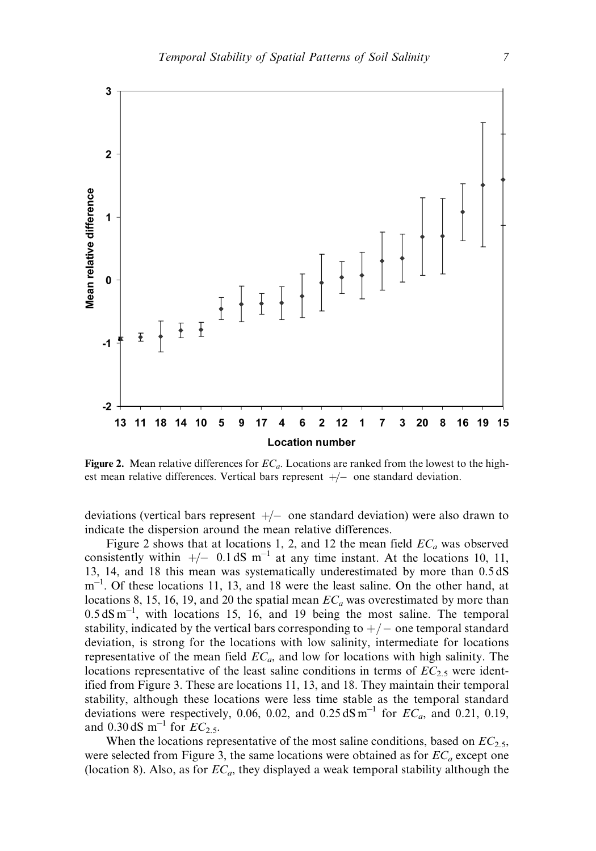

**Figure 2.** Mean relative differences for  $EC_a$ . Locations are ranked from the lowest to the highest mean relative differences. Vertical bars represent  $+/-$  one standard deviation.

deviations (vertical bars represent  $\not -$  one standard deviation) were also drawn to indicate the dispersion around the mean relative differences.

Figure 2 shows that at locations 1, 2, and 12 the mean field  $EC_a$  was observed consistently within  $+/-$  0.1 dS m<sup>-1</sup> at any time instant. At the locations 10, 11, 13, 14, and 18 this mean was systematically underestimated by more than 0.5 dS  $m^{-1}$ . Of these locations 11, 13, and 18 were the least saline. On the other hand, at locations 8, 15, 16, 19, and 20 the spatial mean  $EC_a$  was overestimated by more than  $0.5 dS m^{-1}$ , with locations 15, 16, and 19 being the most saline. The temporal stability, indicated by the vertical bars corresponding to  $+/-$  one temporal standard deviation, is strong for the locations with low salinity, intermediate for locations representative of the mean field  $EC_a$ , and low for locations with high salinity. The locations representative of the least saline conditions in terms of  $EC_{2.5}$  were identified from Figure 3. These are locations 11, 13, and 18. They maintain their temporal stability, although these locations were less time stable as the temporal standard deviations were respectively, 0.06, 0.02, and 0.25 dS m<sup>-1</sup> for  $EC_a$ , and 0.21, 0.19, and 0.30 dS m<sup>-1</sup> for  $EC_{2.5}$ .

When the locations representative of the most saline conditions, based on  $EC_{2.5}$ , were selected from Figure 3, the same locations were obtained as for  $EC_a$  except one (location 8). Also, as for  $EC_a$ , they displayed a weak temporal stability although the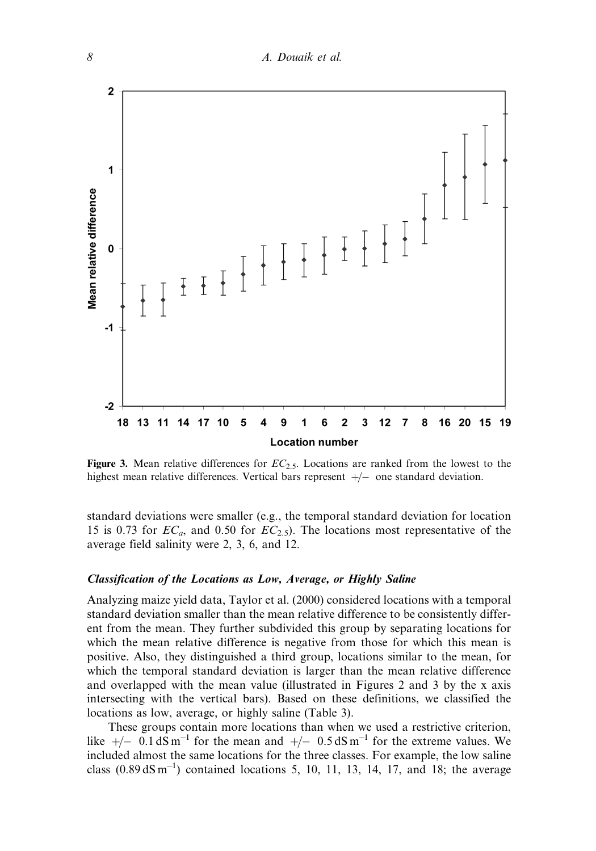

Figure 3. Mean relative differences for  $EC_{2.5}$ . Locations are ranked from the lowest to the highest mean relative differences. Vertical bars represent  $+/-$  one standard deviation.

standard deviations were smaller (e.g., the temporal standard deviation for location 15 is 0.73 for  $EC_a$ , and 0.50 for  $EC_{2.5}$ ). The locations most representative of the average field salinity were 2, 3, 6, and 12.

#### Classification of the Locations as Low, Average, or Highly Saline

Analyzing maize yield data, Taylor et al. (2000) considered locations with a temporal standard deviation smaller than the mean relative difference to be consistently different from the mean. They further subdivided this group by separating locations for which the mean relative difference is negative from those for which this mean is positive. Also, they distinguished a third group, locations similar to the mean, for which the temporal standard deviation is larger than the mean relative difference and overlapped with the mean value (illustrated in Figures 2 and 3 by the x axis intersecting with the vertical bars). Based on these definitions, we classified the locations as low, average, or highly saline (Table 3).

These groups contain more locations than when we used a restrictive criterion, like  $\pm$ /– 0.1 dS m<sup>-1</sup> for the mean and  $\pm$ /– 0.5 dS m<sup>-1</sup> for the extreme values. We included almost the same locations for the three classes. For example, the low saline class  $(0.89 \text{ dS m}^{-1})$  contained locations 5, 10, 11, 13, 14, 17, and 18; the average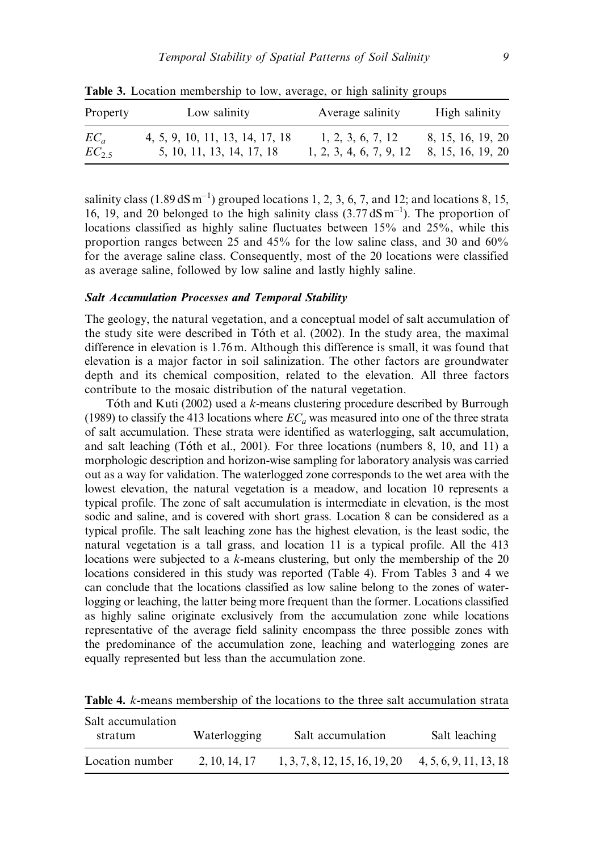| Property   | Low salinity                    | Average salinity        | High salinity     |
|------------|---------------------------------|-------------------------|-------------------|
| $EC_a$     | 4, 5, 9, 10, 11, 13, 14, 17, 18 | 1, 2, 3, 6, 7, 12       | 8, 15, 16, 19, 20 |
| $EC_{2,5}$ | 5, 10, 11, 13, 14, 17, 18       | 1, 2, 3, 4, 6, 7, 9, 12 | 8, 15, 16, 19, 20 |

Table 3. Location membership to low, average, or high salinity groups

salinity class  $(1.89 \text{ dS m}^{-1})$  grouped locations 1, 2, 3, 6, 7, and 12; and locations 8, 15, 16, 19, and 20 belonged to the high salinity class  $(3.77 \text{ dS m}^{-1})$ . The proportion of locations classified as highly saline fluctuates between 15% and 25%, while this proportion ranges between 25 and 45% for the low saline class, and 30 and 60% for the average saline class. Consequently, most of the 20 locations were classified as average saline, followed by low saline and lastly highly saline.

#### Salt Accumulation Processes and Temporal Stability

The geology, the natural vegetation, and a conceptual model of salt accumulation of the study site were described in Toth et al. (2002). In the study area, the maximal difference in elevation is 1.76 m. Although this difference is small, it was found that elevation is a major factor in soil salinization. The other factors are groundwater depth and its chemical composition, related to the elevation. All three factors contribute to the mosaic distribution of the natural vegetation.

Tóth and Kuti (2002) used a  $k$ -means clustering procedure described by Burrough (1989) to classify the 413 locations where  $EC_a$  was measured into one of the three strata of salt accumulation. These strata were identified as waterlogging, salt accumulation, and salt leaching (Toth et al., 2001). For three locations (numbers 8, 10, and 11) a morphologic description and horizon-wise sampling for laboratory analysis was carried out as a way for validation. The waterlogged zone corresponds to the wet area with the lowest elevation, the natural vegetation is a meadow, and location 10 represents a typical profile. The zone of salt accumulation is intermediate in elevation, is the most sodic and saline, and is covered with short grass. Location 8 can be considered as a typical profile. The salt leaching zone has the highest elevation, is the least sodic, the natural vegetation is a tall grass, and location 11 is a typical profile. All the 413 locations were subjected to a k-means clustering, but only the membership of the 20 locations considered in this study was reported (Table 4). From Tables 3 and 4 we can conclude that the locations classified as low saline belong to the zones of waterlogging or leaching, the latter being more frequent than the former. Locations classified as highly saline originate exclusively from the accumulation zone while locations representative of the average field salinity encompass the three possible zones with the predominance of the accumulation zone, leaching and waterlogging zones are equally represented but less than the accumulation zone.

| Salt accumulation<br>stratum | Waterlogging  | Salt accumulation              | Salt leaching          |
|------------------------------|---------------|--------------------------------|------------------------|
| Location number              | 2, 10, 14, 17 | 1, 3, 7, 8, 12, 15, 16, 19, 20 | 4, 5, 6, 9, 11, 13, 18 |

Table 4. k-means membership of the locations to the three salt accumulation strata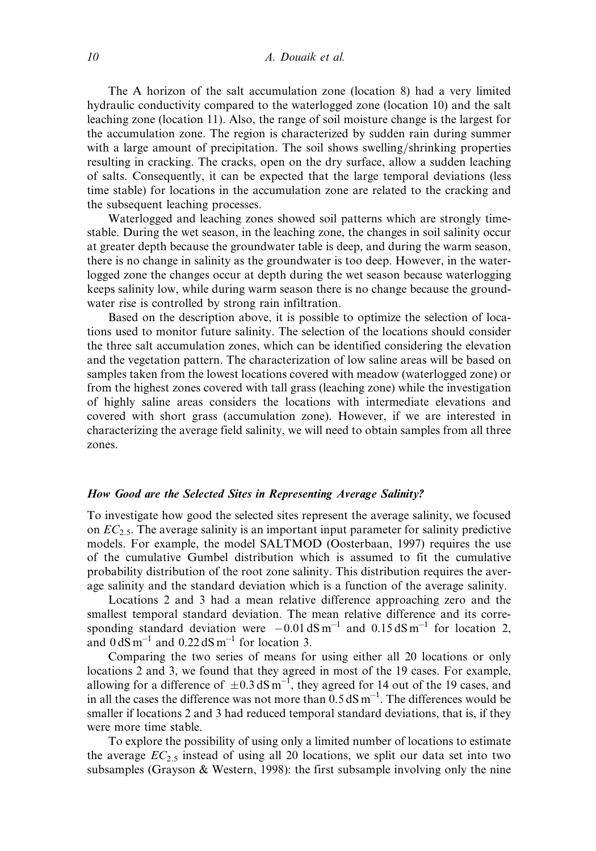The A horizon of the salt accumulation zone (location 8) had a very limited hydraulic conductivity compared to the waterlogged zone (location 10) and the salt leaching zone (location 11). Also, the range of soil moisture change is the largest for the accumulation zone. The region is characterized by sudden rain during summer with a large amount of precipitation. The soil shows swelling/shrinking properties resulting in cracking. The cracks, open on the dry surface, allow a sudden leaching of salts. Consequently, it can be expected that the large temporal deviations (less time stable) for locations in the accumulation zone are related to the cracking and the subsequent leaching processes.

Waterlogged and leaching zones showed soil patterns which are strongly timestable. During the wet season, in the leaching zone, the changes in soil salinity occur at greater depth because the groundwater table is deep, and during the warm season, there is no change in salinity as the groundwater is too deep. However, in the waterlogged zone the changes occur at depth during the wet season because waterlogging keeps salinity low, while during warm season there is no change because the groundwater rise is controlled by strong rain infiltration.

Based on the description above, it is possible to optimize the selection of locations used to monitor future salinity. The selection of the locations should consider the three salt accumulation zones, which can be identified considering the elevation and the vegetation pattern. The characterization of low saline areas will be based on samples taken from the lowest locations covered with meadow (waterlogged zone) or from the highest zones covered with tall grass (leaching zone) while the investigation of highly saline areas considers the locations with intermediate elevations and covered with short grass (accumulation zone). However, if we are interested in characterizing the average field salinity, we will need to obtain samples from all three zones.

## How Good are the Selected Sites in Representing Average Salinity?

To investigate how good the selected sites represent the average salinity, we focused on  $EC_{2,5}$ . The average salinity is an important input parameter for salinity predictive models. For example, the model SALTMOD (Oosterbaan, 1997) requires the use of the cumulative Gumbel distribution which is assumed to fit the cumulative probability distribution of the root zone salinity. This distribution requires the average salinity and the standard deviation which is a function of the average salinity.

Locations 2 and 3 had a mean relative difference approaching zero and the smallest temporal standard deviation. The mean relative difference and its corresponding standard deviation were  $-0.01$  dS m<sup>-1</sup> and 0.15 dS m<sup>-1</sup> for location 2, and  $0 \text{ dS m}^{-1}$  and  $0.22 \text{ dS m}^{-1}$  for location 3.

Comparing the two series of means for using either all 20 locations or only locations 2 and 3, we found that they agreed in most of the 19 cases. For example, allowing for a difference of  $\pm 0.3$  dS m<sup>-1</sup>, they agreed for 14 out of the 19 cases, and in all the cases the difference was not more than  $0.5 dS m^{-1}$ . The differences would be smaller if locations 2 and 3 had reduced temporal standard deviations, that is, if they were more time stable.

To explore the possibility of using only a limited number of locations to estimate the average  $EC_{2.5}$  instead of using all 20 locations, we split our data set into two subsamples (Grayson  $\&$  Western, 1998): the first subsample involving only the nine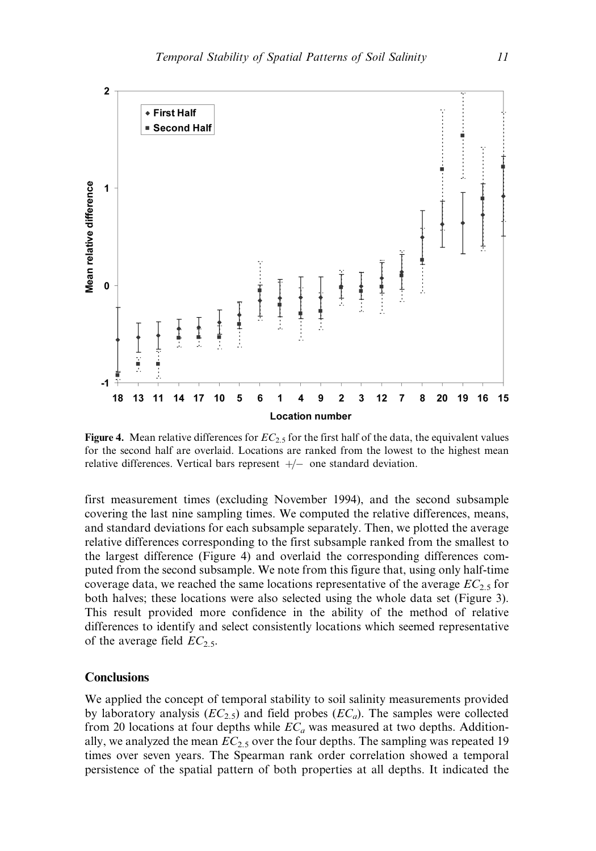

Figure 4. Mean relative differences for  $EC_{2.5}$  for the first half of the data, the equivalent values for the second half are overlaid. Locations are ranked from the lowest to the highest mean relative differences. Vertical bars represent  $+/-$  one standard deviation.

first measurement times (excluding November 1994), and the second subsample covering the last nine sampling times. We computed the relative differences, means, and standard deviations for each subsample separately. Then, we plotted the average relative differences corresponding to the first subsample ranked from the smallest to the largest difference (Figure 4) and overlaid the corresponding differences computed from the second subsample. We note from this figure that, using only half-time coverage data, we reached the same locations representative of the average  $EC_{2.5}$  for both halves; these locations were also selected using the whole data set (Figure 3). This result provided more confidence in the ability of the method of relative differences to identify and select consistently locations which seemed representative of the average field  $EC_{2.5}$ .

## **Conclusions**

We applied the concept of temporal stability to soil salinity measurements provided by laboratory analysis ( $EC_{2.5}$ ) and field probes ( $EC_a$ ). The samples were collected from 20 locations at four depths while  $EC_a$  was measured at two depths. Additionally, we analyzed the mean  $EC_{2.5}$  over the four depths. The sampling was repeated 19 times over seven years. The Spearman rank order correlation showed a temporal persistence of the spatial pattern of both properties at all depths. It indicated the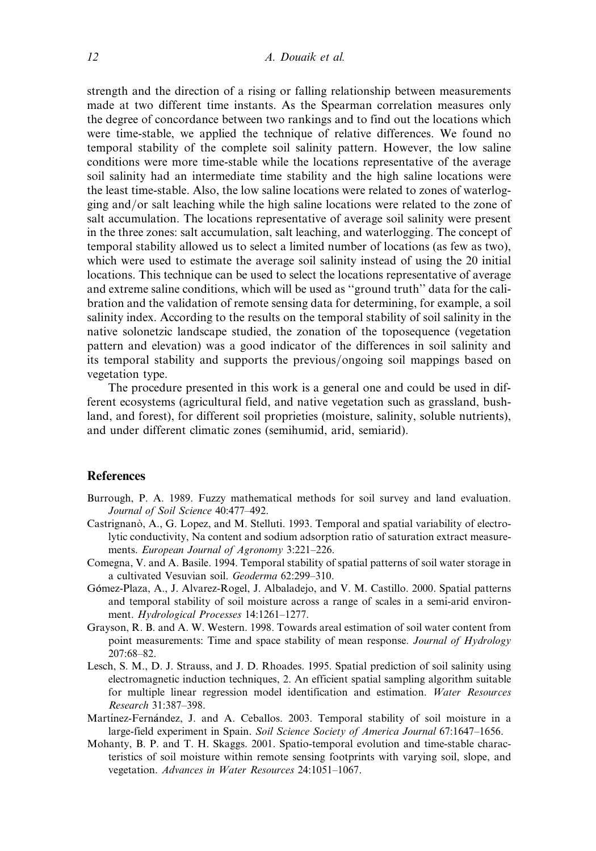strength and the direction of a rising or falling relationship between measurements made at two different time instants. As the Spearman correlation measures only the degree of concordance between two rankings and to find out the locations which were time-stable, we applied the technique of relative differences. We found no temporal stability of the complete soil salinity pattern. However, the low saline conditions were more time-stable while the locations representative of the average soil salinity had an intermediate time stability and the high saline locations were the least time-stable. Also, the low saline locations were related to zones of waterlogging and/or salt leaching while the high saline locations were related to the zone of salt accumulation. The locations representative of average soil salinity were present in the three zones: salt accumulation, salt leaching, and waterlogging. The concept of temporal stability allowed us to select a limited number of locations (as few as two), which were used to estimate the average soil salinity instead of using the 20 initial locations. This technique can be used to select the locations representative of average and extreme saline conditions, which will be used as ''ground truth'' data for the calibration and the validation of remote sensing data for determining, for example, a soil salinity index. According to the results on the temporal stability of soil salinity in the native solonetzic landscape studied, the zonation of the toposequence (vegetation pattern and elevation) was a good indicator of the differences in soil salinity and its temporal stability and supports the previous/ongoing soil mappings based on vegetation type.

The procedure presented in this work is a general one and could be used in different ecosystems (agricultural field, and native vegetation such as grassland, bushland, and forest), for different soil proprieties (moisture, salinity, soluble nutrients), and under different climatic zones (semihumid, arid, semiarid).

## **References**

- Burrough, P. A. 1989. Fuzzy mathematical methods for soil survey and land evaluation. Journal of Soil Science 40:477–492.
- Castrignanò, A., G. Lopez, and M. Stelluti. 1993. Temporal and spatial variability of electrolytic conductivity, Na content and sodium adsorption ratio of saturation extract measurements. European Journal of Agronomy 3:221–226.
- Comegna, V. and A. Basile. 1994. Temporal stability of spatial patterns of soil water storage in a cultivated Vesuvian soil. Geoderma 62:299–310.
- Gomez-Plaza, A., J. Alvarez-Rogel, J. Albaladejo, and V. M. Castillo. 2000. Spatial patterns and temporal stability of soil moisture across a range of scales in a semi-arid environment. Hydrological Processes 14:1261–1277.
- Grayson, R. B. and A. W. Western. 1998. Towards areal estimation of soil water content from point measurements: Time and space stability of mean response. Journal of Hydrology 207:68–82.
- Lesch, S. M., D. J. Strauss, and J. D. Rhoades. 1995. Spatial prediction of soil salinity using electromagnetic induction techniques, 2. An efficient spatial sampling algorithm suitable for multiple linear regression model identification and estimation. Water Resources Research 31:387–398.
- Martínez-Fernández, J. and A. Ceballos. 2003. Temporal stability of soil moisture in a large-field experiment in Spain. Soil Science Society of America Journal 67:1647–1656.
- Mohanty, B. P. and T. H. Skaggs. 2001. Spatio-temporal evolution and time-stable characteristics of soil moisture within remote sensing footprints with varying soil, slope, and vegetation. Advances in Water Resources 24:1051–1067.